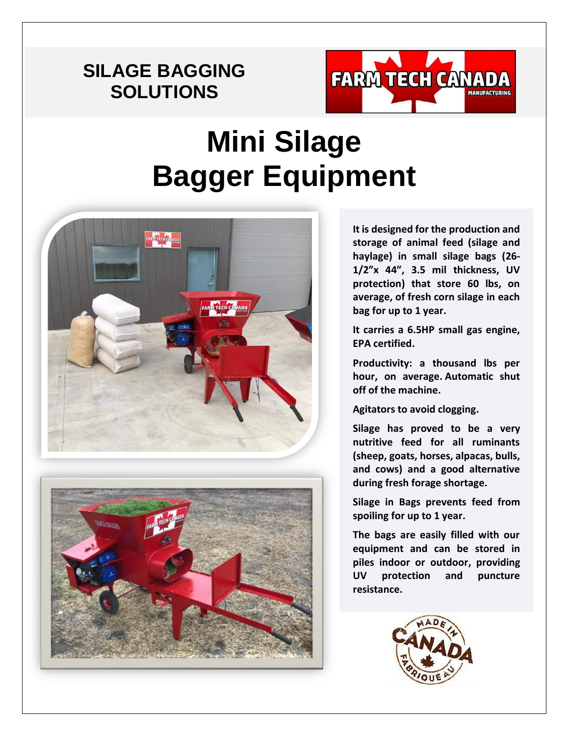## **SILAGE BAGGING SOLUTIONS**



## **Mini Silage Bagger Equipment**





**It is designed for the production and storage of animal feed (silage and haylage) in small silage bags (26- 1/2"x 44", 3.5 mil thickness, UV protection) that store 60 lbs, on average, of fresh corn silage in each bag for up to 1 year.**

**It carries a 6.5HP small gas engine, EPA certified.**

**Productivity: a thousand lbs per hour, on average. Automatic shut off of the machine.**

**Agitators to avoid clogging.**

**Silage has proved to be a very nutritive feed for all ruminants (sheep, goats, horses, alpacas, bulls, and cows) and a good alternative during fresh forage shortage.**

**Silage in Bags prevents feed from spoiling for up to 1 year.**

**The bags are easily filled with our equipment and can be stored in piles indoor or outdoor, providing UV protection and puncture resistance.**